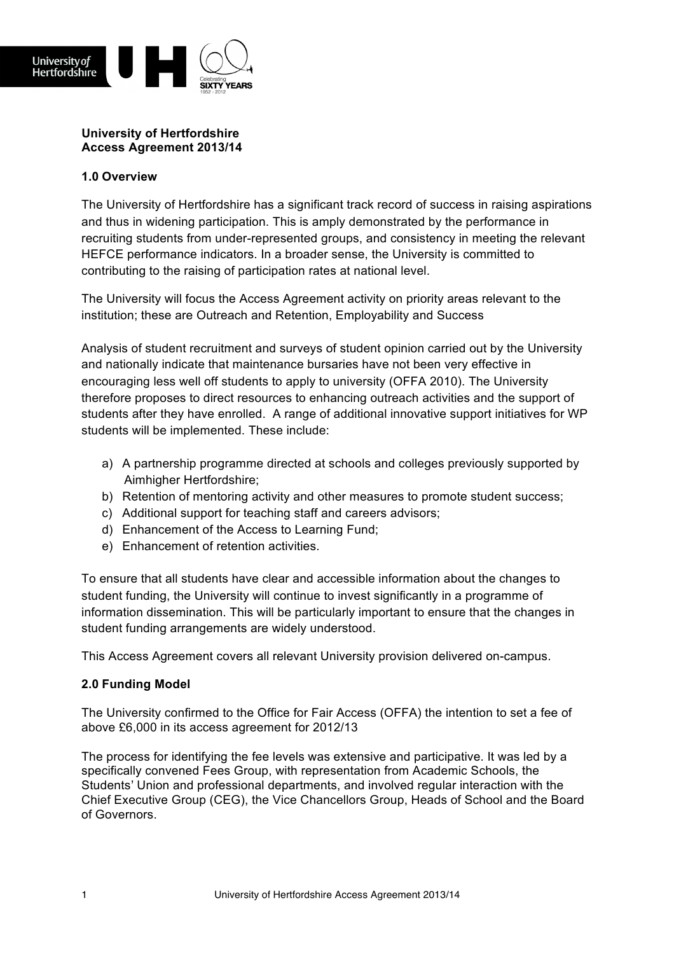

## **University of Hertfordshire Access Agreement 2013/14**

## **1.0 Overview**

The University of Hertfordshire has a significant track record of success in raising aspirations and thus in widening participation. This is amply demonstrated by the performance in recruiting students from under-represented groups, and consistency in meeting the relevant HEFCE performance indicators. In a broader sense, the University is committed to contributing to the raising of participation rates at national level.

The University will focus the Access Agreement activity on priority areas relevant to the institution; these are Outreach and Retention, Employability and Success

Analysis of student recruitment and surveys of student opinion carried out by the University and nationally indicate that maintenance bursaries have not been very effective in encouraging less well off students to apply to university (OFFA 2010). The University therefore proposes to direct resources to enhancing outreach activities and the support of students after they have enrolled. A range of additional innovative support initiatives for WP students will be implemented. These include:

- a) A partnership programme directed at schools and colleges previously supported by Aimhigher Hertfordshire;
- b) Retention of mentoring activity and other measures to promote student success;
- c) Additional support for teaching staff and careers advisors;
- d) Enhancement of the Access to Learning Fund;
- e) Enhancement of retention activities.

To ensure that all students have clear and accessible information about the changes to student funding, the University will continue to invest significantly in a programme of information dissemination. This will be particularly important to ensure that the changes in student funding arrangements are widely understood.

This Access Agreement covers all relevant University provision delivered on-campus.

### **2.0 Funding Model**

The University confirmed to the Office for Fair Access (OFFA) the intention to set a fee of above £6,000 in its access agreement for 2012/13

The process for identifying the fee levels was extensive and participative. It was led by a specifically convened Fees Group, with representation from Academic Schools, the Students' Union and professional departments, and involved regular interaction with the Chief Executive Group (CEG), the Vice Chancellors Group, Heads of School and the Board of Governors.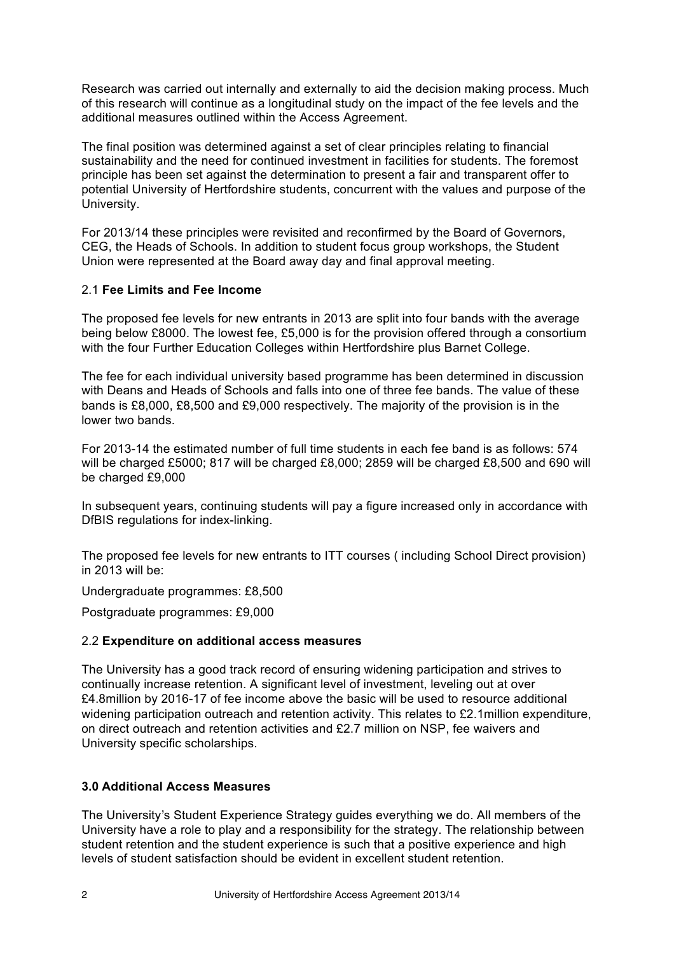Research was carried out internally and externally to aid the decision making process. Much of this research will continue as a longitudinal study on the impact of the fee levels and the additional measures outlined within the Access Agreement.

The final position was determined against a set of clear principles relating to financial sustainability and the need for continued investment in facilities for students. The foremost principle has been set against the determination to present a fair and transparent offer to potential University of Hertfordshire students, concurrent with the values and purpose of the University.

For 2013/14 these principles were revisited and reconfirmed by the Board of Governors, CEG, the Heads of Schools. In addition to student focus group workshops, the Student Union were represented at the Board away day and final approval meeting.

### 2.1 **Fee Limits and Fee Income**

The proposed fee levels for new entrants in 2013 are split into four bands with the average being below £8000. The lowest fee, £5,000 is for the provision offered through a consortium with the four Further Education Colleges within Hertfordshire plus Barnet College.

The fee for each individual university based programme has been determined in discussion with Deans and Heads of Schools and falls into one of three fee bands. The value of these bands is £8,000, £8,500 and £9,000 respectively. The majority of the provision is in the lower two bands.

For 2013-14 the estimated number of full time students in each fee band is as follows: 574 will be charged £5000; 817 will be charged £8,000; 2859 will be charged £8,500 and 690 will be charged £9,000

In subsequent years, continuing students will pay a figure increased only in accordance with DfBIS regulations for index-linking.

The proposed fee levels for new entrants to ITT courses ( including School Direct provision) in 2013 will be:

Undergraduate programmes: £8,500

Postgraduate programmes: £9,000

### 2.2 **Expenditure on additional access measures**

The University has a good track record of ensuring widening participation and strives to continually increase retention. A significant level of investment, leveling out at over £4.8million by 2016-17 of fee income above the basic will be used to resource additional widening participation outreach and retention activity. This relates to £2.1 million expenditure, on direct outreach and retention activities and £2.7 million on NSP, fee waivers and University specific scholarships.

## **3.0 Additional Access Measures**

The University's Student Experience Strategy guides everything we do. All members of the University have a role to play and a responsibility for the strategy. The relationship between student retention and the student experience is such that a positive experience and high levels of student satisfaction should be evident in excellent student retention.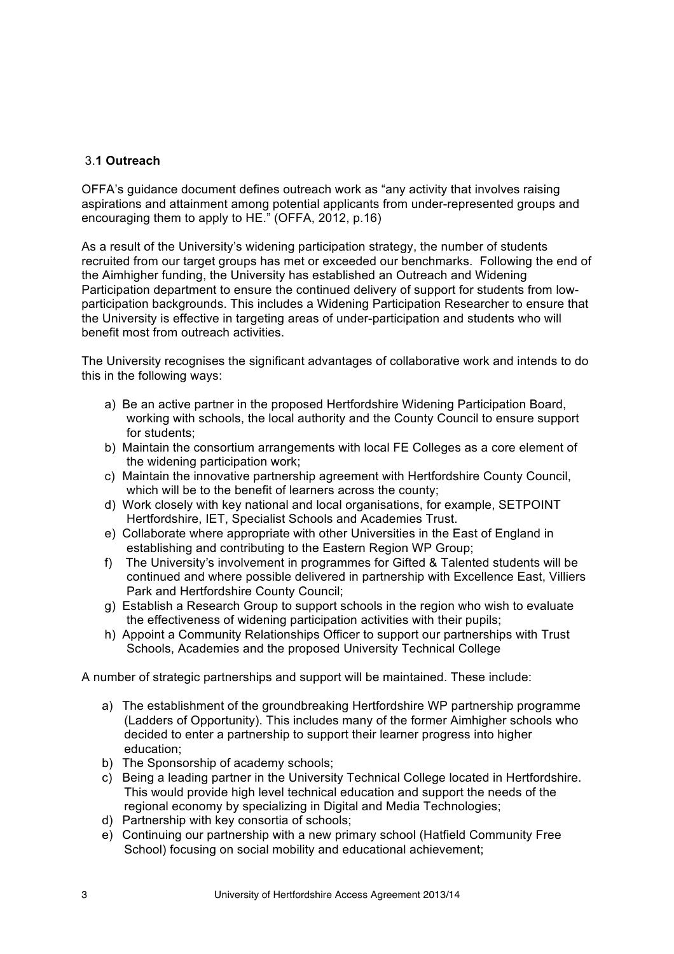# 3.**1 Outreach**

OFFA's guidance document defines outreach work as "any activity that involves raising aspirations and attainment among potential applicants from under-represented groups and encouraging them to apply to HE." (OFFA, 2012, p.16)

As a result of the University's widening participation strategy, the number of students recruited from our target groups has met or exceeded our benchmarks. Following the end of the Aimhigher funding, the University has established an Outreach and Widening Participation department to ensure the continued delivery of support for students from lowparticipation backgrounds. This includes a Widening Participation Researcher to ensure that the University is effective in targeting areas of under-participation and students who will benefit most from outreach activities.

The University recognises the significant advantages of collaborative work and intends to do this in the following ways:

- a) Be an active partner in the proposed Hertfordshire Widening Participation Board, working with schools, the local authority and the County Council to ensure support for students:
- b) Maintain the consortium arrangements with local FE Colleges as a core element of the widening participation work;
- c) Maintain the innovative partnership agreement with Hertfordshire County Council, which will be to the benefit of learners across the county;
- d) Work closely with key national and local organisations, for example, SETPOINT Hertfordshire, IET, Specialist Schools and Academies Trust.
- e) Collaborate where appropriate with other Universities in the East of England in establishing and contributing to the Eastern Region WP Group;
- f) The University's involvement in programmes for Gifted & Talented students will be continued and where possible delivered in partnership with Excellence East, Villiers Park and Hertfordshire County Council;
- g) Establish a Research Group to support schools in the region who wish to evaluate the effectiveness of widening participation activities with their pupils;
- h) Appoint a Community Relationships Officer to support our partnerships with Trust Schools, Academies and the proposed University Technical College

A number of strategic partnerships and support will be maintained. These include:

- a) The establishment of the groundbreaking Hertfordshire WP partnership programme (Ladders of Opportunity). This includes many of the former Aimhigher schools who decided to enter a partnership to support their learner progress into higher education;
- b) The Sponsorship of academy schools;
- c) Being a leading partner in the University Technical College located in Hertfordshire. This would provide high level technical education and support the needs of the regional economy by specializing in Digital and Media Technologies;
- d) Partnership with key consortia of schools;
- e) Continuing our partnership with a new primary school (Hatfield Community Free School) focusing on social mobility and educational achievement;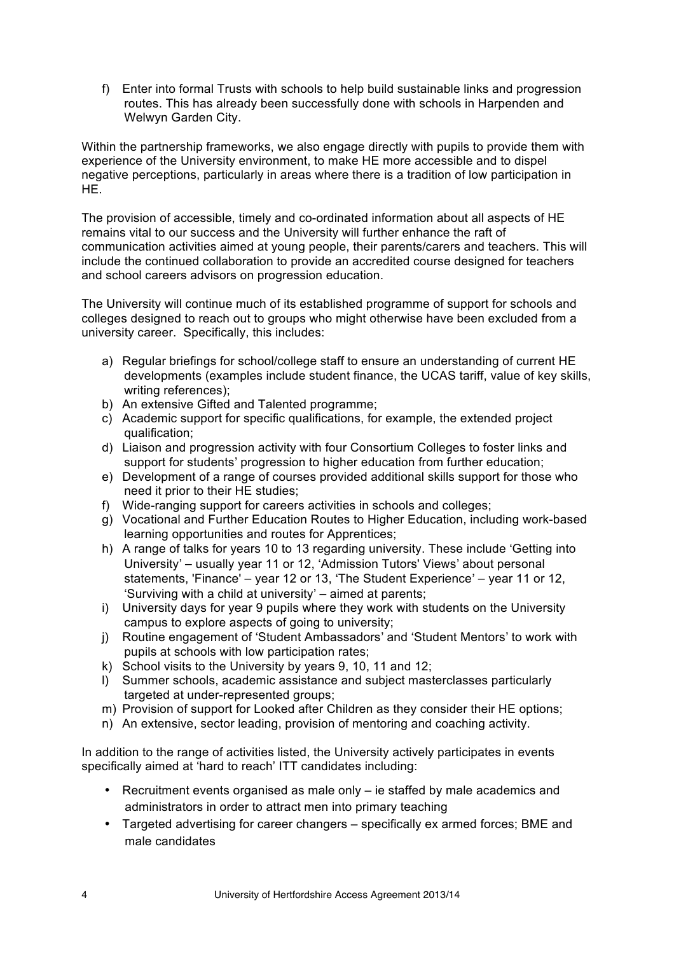f) Enter into formal Trusts with schools to help build sustainable links and progression routes. This has already been successfully done with schools in Harpenden and Welwyn Garden City.

Within the partnership frameworks, we also engage directly with pupils to provide them with experience of the University environment, to make HE more accessible and to dispel negative perceptions, particularly in areas where there is a tradition of low participation in HE.

The provision of accessible, timely and co-ordinated information about all aspects of HE remains vital to our success and the University will further enhance the raft of communication activities aimed at young people, their parents/carers and teachers. This will include the continued collaboration to provide an accredited course designed for teachers and school careers advisors on progression education.

The University will continue much of its established programme of support for schools and colleges designed to reach out to groups who might otherwise have been excluded from a university career. Specifically, this includes:

- a) Regular briefings for school/college staff to ensure an understanding of current HE developments (examples include student finance, the UCAS tariff, value of key skills, writing references);
- b) An extensive Gifted and Talented programme;
- c) Academic support for specific qualifications, for example, the extended project qualification;
- d) Liaison and progression activity with four Consortium Colleges to foster links and support for students' progression to higher education from further education;
- e) Development of a range of courses provided additional skills support for those who need it prior to their HE studies;
- f) Wide-ranging support for careers activities in schools and colleges:
- g) Vocational and Further Education Routes to Higher Education, including work-based learning opportunities and routes for Apprentices;
- h) A range of talks for years 10 to 13 regarding university. These include ʻGetting into University' – usually year 11 or 12, ʻAdmission Tutors' Views' about personal statements, 'Finance' – year 12 or 13, ʻThe Student Experience' – year 11 or 12, ʻSurviving with a child at university' – aimed at parents;
- i) University days for year 9 pupils where they work with students on the University campus to explore aspects of going to university;
- j) Routine engagement of ʻStudent Ambassadors' and ʻStudent Mentors' to work with pupils at schools with low participation rates;
- k) School visits to the University by years 9, 10, 11 and 12;
- l) Summer schools, academic assistance and subject masterclasses particularly targeted at under-represented groups;
- m) Provision of support for Looked after Children as they consider their HE options;
- n) An extensive, sector leading, provision of mentoring and coaching activity.

In addition to the range of activities listed, the University actively participates in events specifically aimed at 'hard to reach' ITT candidates including:

- Recruitment events organised as male only ie staffed by male academics and administrators in order to attract men into primary teaching
- Targeted advertising for career changers specifically ex armed forces; BME and male candidates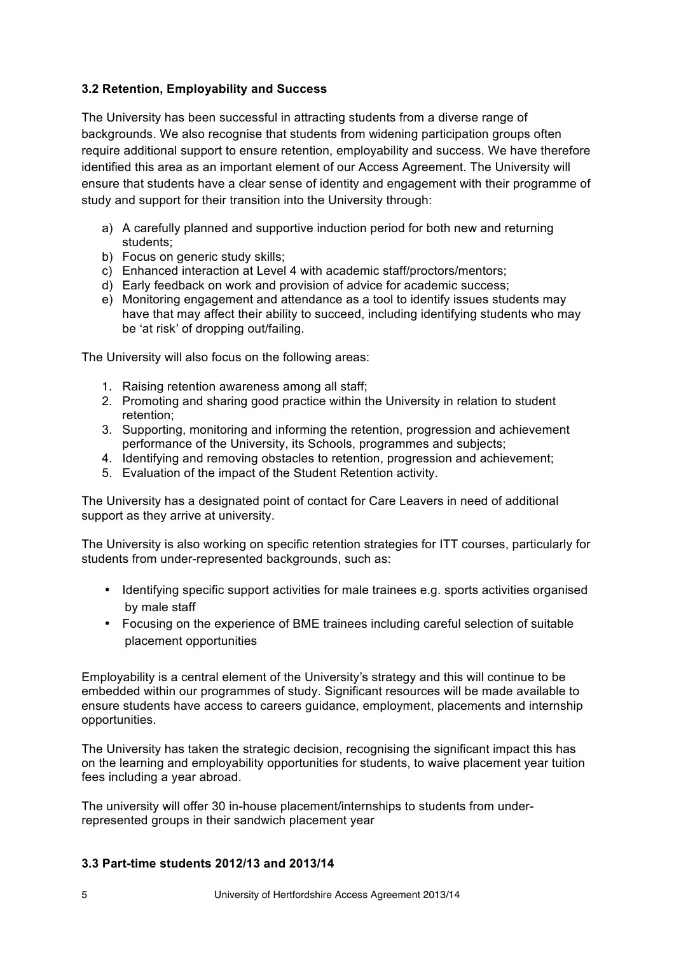# **3.2 Retention, Employability and Success**

The University has been successful in attracting students from a diverse range of backgrounds. We also recognise that students from widening participation groups often require additional support to ensure retention, employability and success. We have therefore identified this area as an important element of our Access Agreement. The University will ensure that students have a clear sense of identity and engagement with their programme of study and support for their transition into the University through:

- a) A carefully planned and supportive induction period for both new and returning students;
- b) Focus on generic study skills;
- c) Enhanced interaction at Level 4 with academic staff/proctors/mentors;
- d) Early feedback on work and provision of advice for academic success;
- e) Monitoring engagement and attendance as a tool to identify issues students may have that may affect their ability to succeed, including identifying students who may be ʻat risk' of dropping out/failing.

The University will also focus on the following areas:

- 1. Raising retention awareness among all staff;
- 2. Promoting and sharing good practice within the University in relation to student retention;
- 3. Supporting, monitoring and informing the retention, progression and achievement performance of the University, its Schools, programmes and subjects;
- 4. Identifying and removing obstacles to retention, progression and achievement;
- 5. Evaluation of the impact of the Student Retention activity.

The University has a designated point of contact for Care Leavers in need of additional support as they arrive at university.

The University is also working on specific retention strategies for ITT courses, particularly for students from under-represented backgrounds, such as:

- Identifying specific support activities for male trainees e.g. sports activities organised by male staff
- Focusing on the experience of BME trainees including careful selection of suitable placement opportunities

Employability is a central element of the University's strategy and this will continue to be embedded within our programmes of study. Significant resources will be made available to ensure students have access to careers guidance, employment, placements and internship opportunities.

The University has taken the strategic decision, recognising the significant impact this has on the learning and employability opportunities for students, to waive placement year tuition fees including a year abroad.

The university will offer 30 in-house placement/internships to students from underrepresented groups in their sandwich placement year

## **3.3 Part-time students 2012/13 and 2013/14**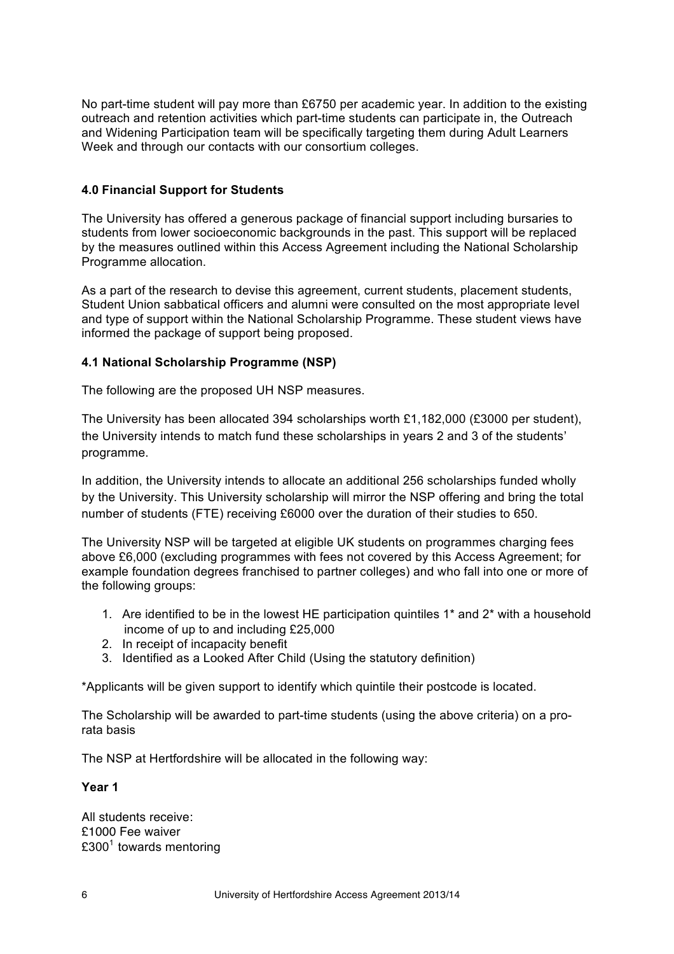No part-time student will pay more than £6750 per academic year. In addition to the existing outreach and retention activities which part-time students can participate in, the Outreach and Widening Participation team will be specifically targeting them during Adult Learners Week and through our contacts with our consortium colleges.

## **4.0 Financial Support for Students**

The University has offered a generous package of financial support including bursaries to students from lower socioeconomic backgrounds in the past. This support will be replaced by the measures outlined within this Access Agreement including the National Scholarship Programme allocation.

As a part of the research to devise this agreement, current students, placement students, Student Union sabbatical officers and alumni were consulted on the most appropriate level and type of support within the National Scholarship Programme. These student views have informed the package of support being proposed.

## **4.1 National Scholarship Programme (NSP)**

The following are the proposed UH NSP measures.

The University has been allocated 394 scholarships worth £1,182,000 (£3000 per student), the University intends to match fund these scholarships in years 2 and 3 of the students' programme.

In addition, the University intends to allocate an additional 256 scholarships funded wholly by the University. This University scholarship will mirror the NSP offering and bring the total number of students (FTE) receiving £6000 over the duration of their studies to 650.

The University NSP will be targeted at eligible UK students on programmes charging fees above £6,000 (excluding programmes with fees not covered by this Access Agreement; for example foundation degrees franchised to partner colleges) and who fall into one or more of the following groups:

- 1. Are identified to be in the lowest HE participation quintiles 1\* and 2\* with a household income of up to and including £25,000
- 2. In receipt of incapacity benefit
- 3. Identified as a Looked After Child (Using the statutory definition)

\*Applicants will be given support to identify which quintile their postcode is located.

The Scholarship will be awarded to part-time students (using the above criteria) on a prorata basis

The NSP at Hertfordshire will be allocated in the following way:

#### **Year 1**

All students receive: £1000 Fee waiver  $£300<sup>1</sup>$  towards mentoring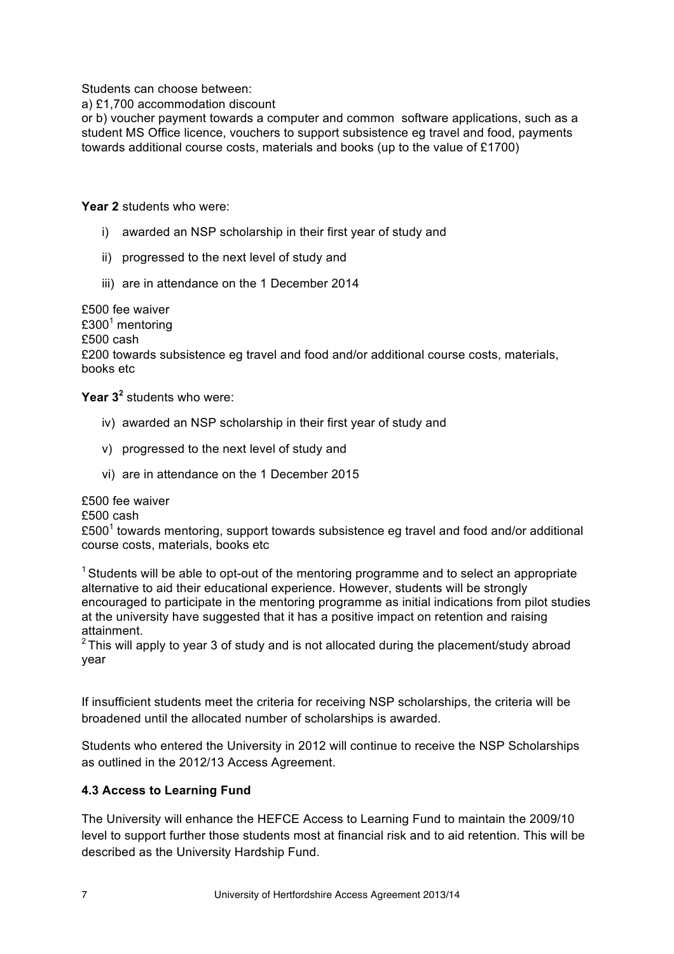Students can choose between:

a) £1,700 accommodation discount

or b) voucher payment towards a computer and common software applications, such as a student MS Office licence, vouchers to support subsistence eg travel and food, payments towards additional course costs, materials and books (up to the value of £1700)

**Year 2** students who were:

- i) awarded an NSP scholarship in their first year of study and
- ii) progressed to the next level of study and
- iii) are in attendance on the 1 December 2014

£500 fee waiver  $£300<sup>1</sup>$  mentoring £500 cash £200 towards subsistence eg travel and food and/or additional course costs, materials, books etc

**Year 3<sup>2</sup>** students who were:

- iv) awarded an NSP scholarship in their first year of study and
- v) progressed to the next level of study and
- vi) are in attendance on the 1 December 2015

£500 fee waiver

£500 cash

 $£500<sup>1</sup>$  towards mentoring, support towards subsistence eg travel and food and/or additional course costs, materials, books etc

 $1$  Students will be able to opt-out of the mentoring programme and to select an appropriate alternative to aid their educational experience. However, students will be strongly encouraged to participate in the mentoring programme as initial indications from pilot studies at the university have suggested that it has a positive impact on retention and raising attainment.

 $2$  This will apply to year 3 of study and is not allocated during the placement/study abroad year

If insufficient students meet the criteria for receiving NSP scholarships, the criteria will be broadened until the allocated number of scholarships is awarded.

Students who entered the University in 2012 will continue to receive the NSP Scholarships as outlined in the 2012/13 Access Agreement.

### **4.3 Access to Learning Fund**

The University will enhance the HEFCE Access to Learning Fund to maintain the 2009/10 level to support further those students most at financial risk and to aid retention. This will be described as the University Hardship Fund.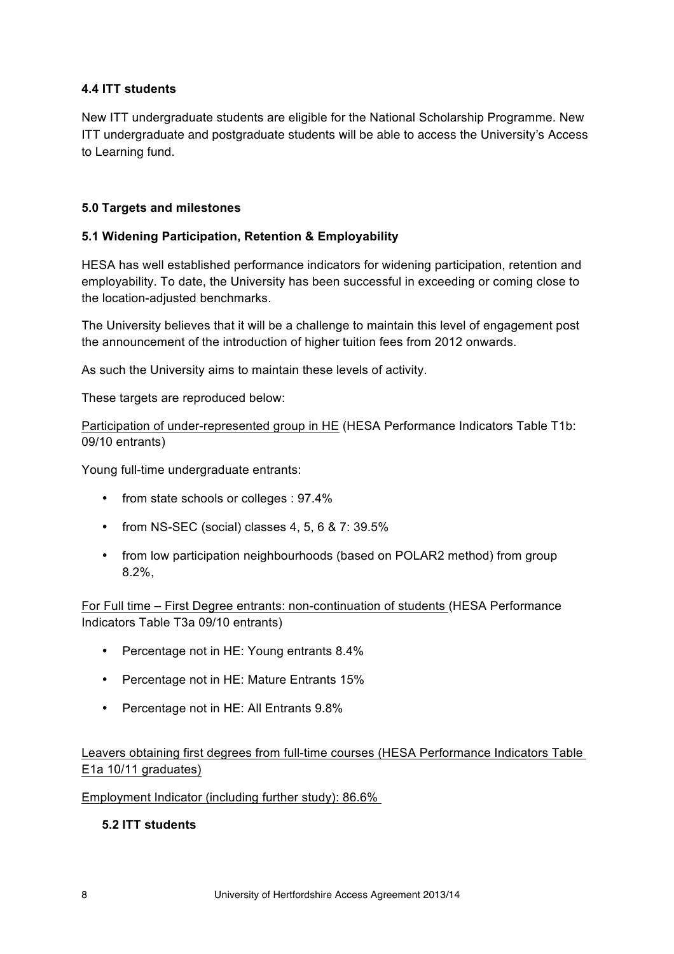# **4.4 ITT students**

New ITT undergraduate students are eligible for the National Scholarship Programme. New ITT undergraduate and postgraduate students will be able to access the University's Access to Learning fund.

# **5.0 Targets and milestones**

## **5.1 Widening Participation, Retention & Employability**

HESA has well established performance indicators for widening participation, retention and employability. To date, the University has been successful in exceeding or coming close to the location-adjusted benchmarks.

The University believes that it will be a challenge to maintain this level of engagement post the announcement of the introduction of higher tuition fees from 2012 onwards.

As such the University aims to maintain these levels of activity.

These targets are reproduced below:

Participation of under-represented group in HE (HESA Performance Indicators Table T1b: 09/10 entrants)

Young full-time undergraduate entrants:

- from state schools or colleges : 97.4%
- from NS-SEC (social) classes 4, 5, 6 & 7: 39.5%
- from low participation neighbourhoods (based on POLAR2 method) from group 8.2%,

For Full time – First Degree entrants: non-continuation of students (HESA Performance Indicators Table T3a 09/10 entrants)

- Percentage not in HE: Young entrants 8.4%
- Percentage not in HE: Mature Entrants 15%
- Percentage not in HE: All Entrants 9.8%

Leavers obtaining first degrees from full-time courses (HESA Performance Indicators Table E1a 10/11 graduates)

Employment Indicator (including further study): 86.6%

### **5.2 ITT students**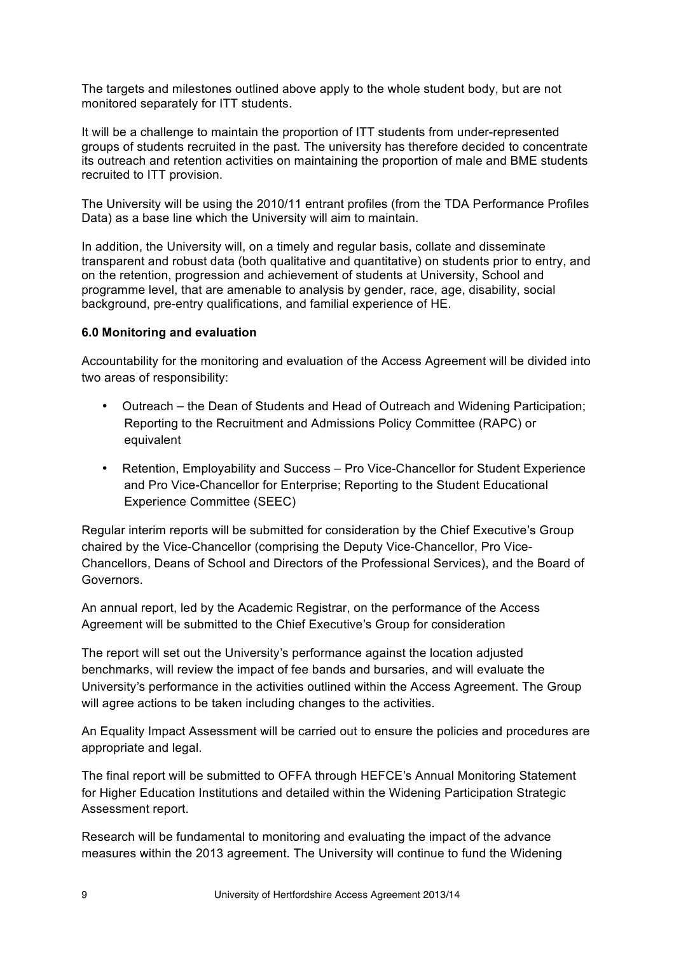The targets and milestones outlined above apply to the whole student body, but are not monitored separately for ITT students.

It will be a challenge to maintain the proportion of ITT students from under-represented groups of students recruited in the past. The university has therefore decided to concentrate its outreach and retention activities on maintaining the proportion of male and BME students recruited to ITT provision.

The University will be using the 2010/11 entrant profiles (from the TDA Performance Profiles Data) as a base line which the University will aim to maintain.

In addition, the University will, on a timely and regular basis, collate and disseminate transparent and robust data (both qualitative and quantitative) on students prior to entry, and on the retention, progression and achievement of students at University, School and programme level, that are amenable to analysis by gender, race, age, disability, social background, pre-entry qualifications, and familial experience of HE.

#### **6.0 Monitoring and evaluation**

Accountability for the monitoring and evaluation of the Access Agreement will be divided into two areas of responsibility:

- Outreach the Dean of Students and Head of Outreach and Widening Participation; Reporting to the Recruitment and Admissions Policy Committee (RAPC) or equivalent
- Retention, Employability and Success Pro Vice-Chancellor for Student Experience and Pro Vice-Chancellor for Enterprise; Reporting to the Student Educational Experience Committee (SEEC)

Regular interim reports will be submitted for consideration by the Chief Executive's Group chaired by the Vice-Chancellor (comprising the Deputy Vice-Chancellor, Pro Vice-Chancellors, Deans of School and Directors of the Professional Services), and the Board of Governors.

An annual report, led by the Academic Registrar, on the performance of the Access Agreement will be submitted to the Chief Executive's Group for consideration

The report will set out the University's performance against the location adjusted benchmarks, will review the impact of fee bands and bursaries, and will evaluate the University's performance in the activities outlined within the Access Agreement. The Group will agree actions to be taken including changes to the activities.

An Equality Impact Assessment will be carried out to ensure the policies and procedures are appropriate and legal.

The final report will be submitted to OFFA through HEFCE's Annual Monitoring Statement for Higher Education Institutions and detailed within the Widening Participation Strategic Assessment report.

Research will be fundamental to monitoring and evaluating the impact of the advance measures within the 2013 agreement. The University will continue to fund the Widening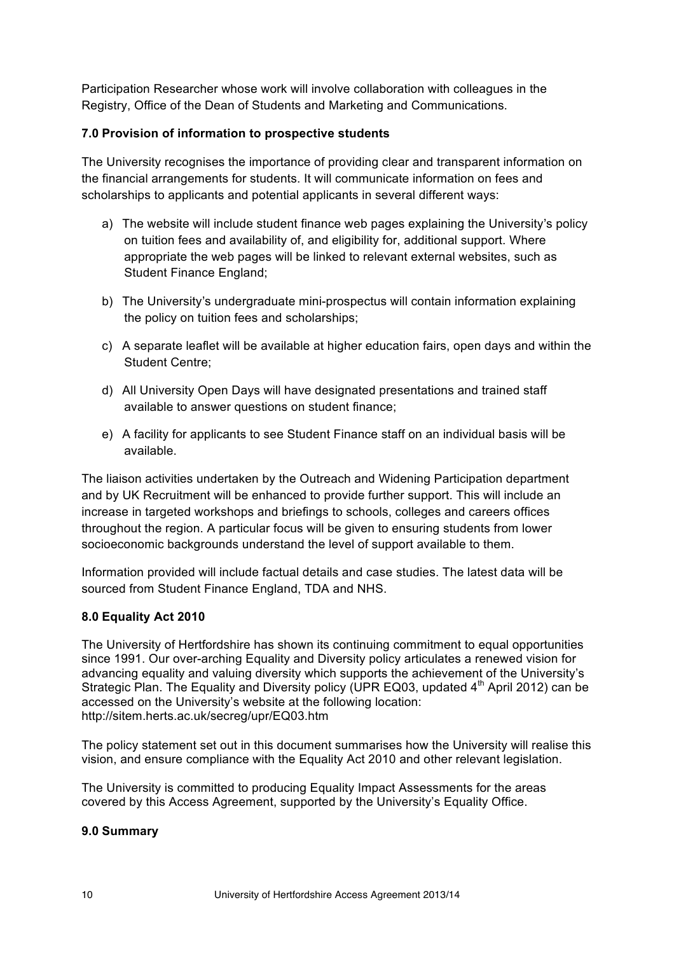Participation Researcher whose work will involve collaboration with colleagues in the Registry, Office of the Dean of Students and Marketing and Communications.

# **7.0 Provision of information to prospective students**

The University recognises the importance of providing clear and transparent information on the financial arrangements for students. It will communicate information on fees and scholarships to applicants and potential applicants in several different ways:

- a) The website will include student finance web pages explaining the University's policy on tuition fees and availability of, and eligibility for, additional support. Where appropriate the web pages will be linked to relevant external websites, such as Student Finance England;
- b) The University's undergraduate mini-prospectus will contain information explaining the policy on tuition fees and scholarships;
- c) A separate leaflet will be available at higher education fairs, open days and within the Student Centre;
- d) All University Open Days will have designated presentations and trained staff available to answer questions on student finance;
- e) A facility for applicants to see Student Finance staff on an individual basis will be available.

The liaison activities undertaken by the Outreach and Widening Participation department and by UK Recruitment will be enhanced to provide further support. This will include an increase in targeted workshops and briefings to schools, colleges and careers offices throughout the region. A particular focus will be given to ensuring students from lower socioeconomic backgrounds understand the level of support available to them.

Information provided will include factual details and case studies. The latest data will be sourced from Student Finance England, TDA and NHS.

### **8.0 Equality Act 2010**

The University of Hertfordshire has shown its continuing commitment to equal opportunities since 1991. Our over-arching Equality and Diversity policy articulates a renewed vision for advancing equality and valuing diversity which supports the achievement of the University's Strategic Plan. The Equality and Diversity policy (UPR EQ03, updated  $4<sup>th</sup>$  April 2012) can be accessed on the University's website at the following location: http://sitem.herts.ac.uk/secreg/upr/EQ03.htm

The policy statement set out in this document summarises how the University will realise this vision, and ensure compliance with the Equality Act 2010 and other relevant legislation.

The University is committed to producing Equality Impact Assessments for the areas covered by this Access Agreement, supported by the University's Equality Office.

### **9.0 Summary**